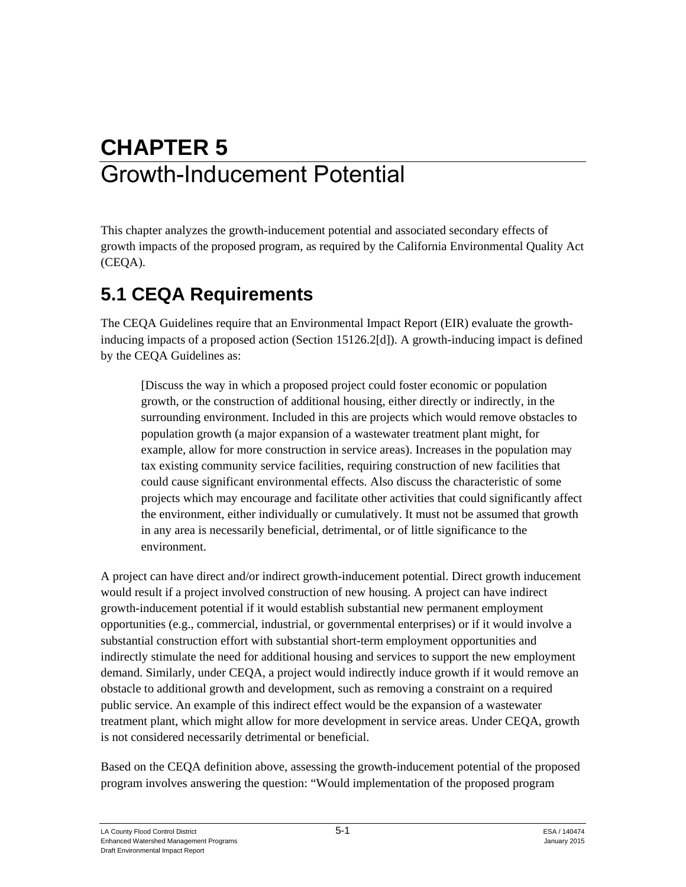# **CHAPTER 5**  Growth-Inducement Potential

This chapter analyzes the growth-inducement potential and associated secondary effects of growth impacts of the proposed program, as required by the California Environmental Quality Act (CEQA).

### **5.1 CEQA Requirements**

The CEQA Guidelines require that an Environmental Impact Report (EIR) evaluate the growthinducing impacts of a proposed action (Section 15126.2[d]). A growth-inducing impact is defined by the CEQA Guidelines as:

[Discuss the way in which a proposed project could foster economic or population growth, or the construction of additional housing, either directly or indirectly, in the surrounding environment. Included in this are projects which would remove obstacles to population growth (a major expansion of a wastewater treatment plant might, for example, allow for more construction in service areas). Increases in the population may tax existing community service facilities, requiring construction of new facilities that could cause significant environmental effects. Also discuss the characteristic of some projects which may encourage and facilitate other activities that could significantly affect the environment, either individually or cumulatively. It must not be assumed that growth in any area is necessarily beneficial, detrimental, or of little significance to the environment.

A project can have direct and/or indirect growth-inducement potential. Direct growth inducement would result if a project involved construction of new housing. A project can have indirect growth-inducement potential if it would establish substantial new permanent employment opportunities (e.g., commercial, industrial, or governmental enterprises) or if it would involve a substantial construction effort with substantial short-term employment opportunities and indirectly stimulate the need for additional housing and services to support the new employment demand. Similarly, under CEQA, a project would indirectly induce growth if it would remove an obstacle to additional growth and development, such as removing a constraint on a required public service. An example of this indirect effect would be the expansion of a wastewater treatment plant, which might allow for more development in service areas. Under CEQA, growth is not considered necessarily detrimental or beneficial.

Based on the CEQA definition above, assessing the growth-inducement potential of the proposed program involves answering the question: "Would implementation of the proposed program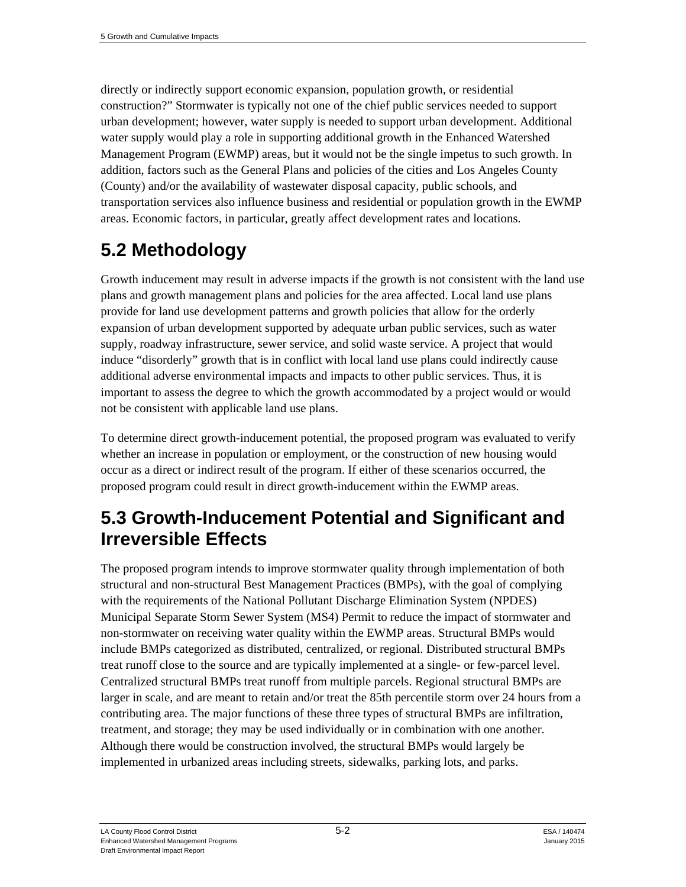directly or indirectly support economic expansion, population growth, or residential construction?" Stormwater is typically not one of the chief public services needed to support urban development; however, water supply is needed to support urban development. Additional water supply would play a role in supporting additional growth in the Enhanced Watershed Management Program (EWMP) areas, but it would not be the single impetus to such growth. In addition, factors such as the General Plans and policies of the cities and Los Angeles County (County) and/or the availability of wastewater disposal capacity, public schools, and transportation services also influence business and residential or population growth in the EWMP areas. Economic factors, in particular, greatly affect development rates and locations.

# **5.2 Methodology**

Growth inducement may result in adverse impacts if the growth is not consistent with the land use plans and growth management plans and policies for the area affected. Local land use plans provide for land use development patterns and growth policies that allow for the orderly expansion of urban development supported by adequate urban public services, such as water supply, roadway infrastructure, sewer service, and solid waste service. A project that would induce "disorderly" growth that is in conflict with local land use plans could indirectly cause additional adverse environmental impacts and impacts to other public services. Thus, it is important to assess the degree to which the growth accommodated by a project would or would not be consistent with applicable land use plans.

To determine direct growth-inducement potential, the proposed program was evaluated to verify whether an increase in population or employment, or the construction of new housing would occur as a direct or indirect result of the program. If either of these scenarios occurred, the proposed program could result in direct growth-inducement within the EWMP areas.

#### **5.3 Growth-Inducement Potential and Significant and Irreversible Effects**

The proposed program intends to improve stormwater quality through implementation of both structural and non-structural Best Management Practices (BMPs), with the goal of complying with the requirements of the National Pollutant Discharge Elimination System (NPDES) Municipal Separate Storm Sewer System (MS4) Permit to reduce the impact of stormwater and non-stormwater on receiving water quality within the EWMP areas. Structural BMPs would include BMPs categorized as distributed, centralized, or regional. Distributed structural BMPs treat runoff close to the source and are typically implemented at a single- or few-parcel level. Centralized structural BMPs treat runoff from multiple parcels. Regional structural BMPs are larger in scale, and are meant to retain and/or treat the 85th percentile storm over 24 hours from a contributing area. The major functions of these three types of structural BMPs are infiltration, treatment, and storage; they may be used individually or in combination with one another. Although there would be construction involved, the structural BMPs would largely be implemented in urbanized areas including streets, sidewalks, parking lots, and parks.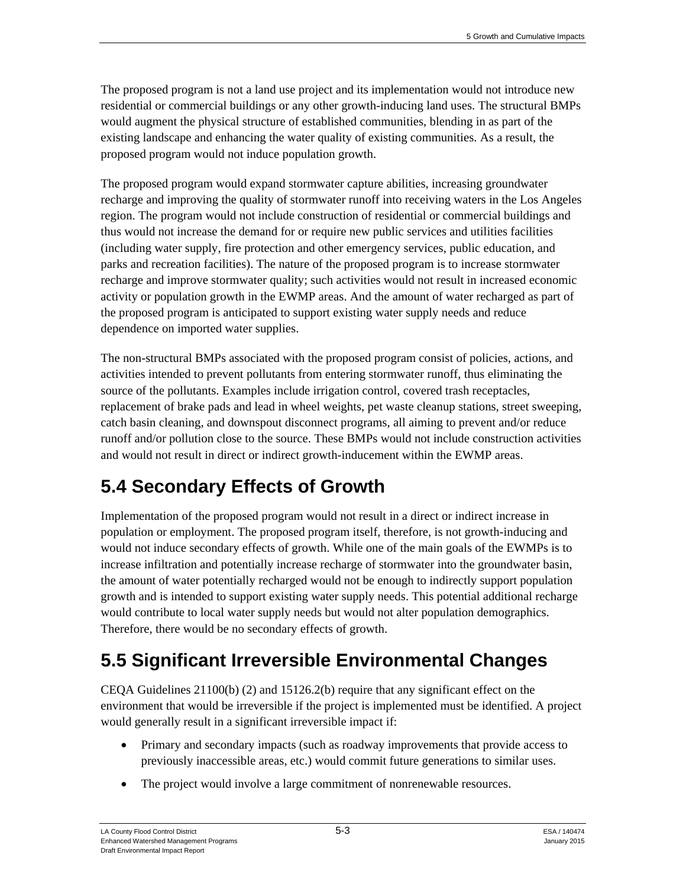The proposed program is not a land use project and its implementation would not introduce new residential or commercial buildings or any other growth-inducing land uses. The structural BMPs would augment the physical structure of established communities, blending in as part of the existing landscape and enhancing the water quality of existing communities. As a result, the proposed program would not induce population growth.

The proposed program would expand stormwater capture abilities, increasing groundwater recharge and improving the quality of stormwater runoff into receiving waters in the Los Angeles region. The program would not include construction of residential or commercial buildings and thus would not increase the demand for or require new public services and utilities facilities (including water supply, fire protection and other emergency services, public education, and parks and recreation facilities). The nature of the proposed program is to increase stormwater recharge and improve stormwater quality; such activities would not result in increased economic activity or population growth in the EWMP areas. And the amount of water recharged as part of the proposed program is anticipated to support existing water supply needs and reduce dependence on imported water supplies.

The non-structural BMPs associated with the proposed program consist of policies, actions, and activities intended to prevent pollutants from entering stormwater runoff, thus eliminating the source of the pollutants. Examples include irrigation control, covered trash receptacles, replacement of brake pads and lead in wheel weights, pet waste cleanup stations, street sweeping, catch basin cleaning, and downspout disconnect programs, all aiming to prevent and/or reduce runoff and/or pollution close to the source. These BMPs would not include construction activities and would not result in direct or indirect growth-inducement within the EWMP areas.

# **5.4 Secondary Effects of Growth**

Implementation of the proposed program would not result in a direct or indirect increase in population or employment. The proposed program itself, therefore, is not growth-inducing and would not induce secondary effects of growth. While one of the main goals of the EWMPs is to increase infiltration and potentially increase recharge of stormwater into the groundwater basin, the amount of water potentially recharged would not be enough to indirectly support population growth and is intended to support existing water supply needs. This potential additional recharge would contribute to local water supply needs but would not alter population demographics. Therefore, there would be no secondary effects of growth.

# **5.5 Significant Irreversible Environmental Changes**

CEQA Guidelines 21100(b) (2) and 15126.2(b) require that any significant effect on the environment that would be irreversible if the project is implemented must be identified. A project would generally result in a significant irreversible impact if:

- Primary and secondary impacts (such as roadway improvements that provide access to previously inaccessible areas, etc.) would commit future generations to similar uses.
- The project would involve a large commitment of nonrenewable resources.